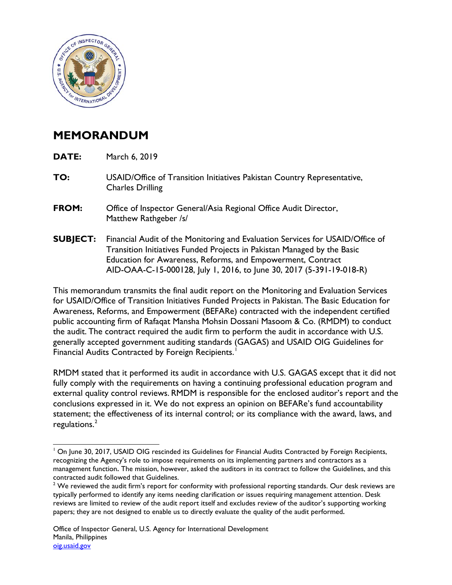

## **MEMORANDUM**

**DATE:** March 6, 2019

 $\overline{a}$ 

- **TO:** USAID/Office of Transition Initiatives Pakistan Country Representative, Charles Drilling
- **FROM:** Office of Inspector General/Asia Regional Office Audit Director, Matthew Rathgeber /s/
- **SUBJECT:** Financial Audit of the Monitoring and Evaluation Services for USAID/Office of Transition Initiatives Funded Projects in Pakistan Managed by the Basic Education for Awareness, Reforms, and Empowerment, Contract AID-OAA-C-15-000128, July 1, 2016, to June 30, 2017 (5-391-19-018-R)

This memorandum transmits the final audit report on the Monitoring and Evaluation Services for USAID/Office of Transition Initiatives Funded Projects in Pakistan. The Basic Education for Awareness, Reforms, and Empowerment (BEFARe) contracted with the independent certified public accounting firm of Rafaqat Mansha Mohsin Dossani Masoom & Co. (RMDM) to conduct the audit. The contract required the audit firm to perform the audit in accordance with U.S. generally accepted government auditing standards (GAGAS) and USAID OIG Guidelines for Financial Audits Contracted by Foreign Recipients.<sup>[1](#page-0-0)</sup>

RMDM stated that it performed its audit in accordance with U.S. GAGAS except that it did not fully comply with the requirements on having a continuing professional education program and external quality control reviews. RMDM is responsible for the enclosed auditor's report and the conclusions expressed in it. We do not express an opinion on BEFARe's fund accountability statement; the effectiveness of its internal control; or its compliance with the award, laws, and regulations.<sup>[2](#page-0-1)</sup>

<span id="page-0-0"></span><sup>&</sup>lt;sup>1</sup> On June 30, 2017, USAID OIG rescinded its Guidelines for Financial Audits Contracted by Foreign Recipients, recognizing the Agency's role to impose requirements on its implementing partners and contractors as a management function**.** The mission, however, asked the auditors in its contract to follow the Guidelines, and this contracted audit followed that Guidelines.

<span id="page-0-1"></span> $2$  We reviewed the audit firm's report for conformity with professional reporting standards. Our desk reviews are typically performed to identify any items needing clarification or issues requiring management attention. Desk reviews are limited to review of the audit report itself and excludes review of the auditor's supporting working papers; they are not designed to enable us to directly evaluate the quality of the audit performed**.**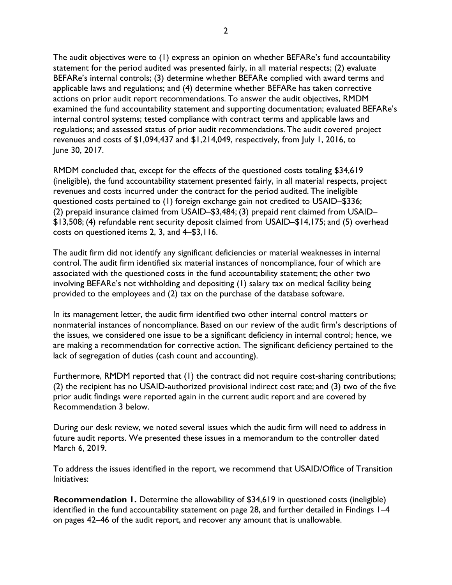The audit objectives were to (1) express an opinion on whether BEFARe's fund accountability statement for the period audited was presented fairly, in all material respects; (2) evaluate BEFARe's internal controls; (3) determine whether BEFARe complied with award terms and applicable laws and regulations; and (4) determine whether BEFARe has taken corrective actions on prior audit report recommendations. To answer the audit objectives, RMDM examined the fund accountability statement and supporting documentation; evaluated BEFARe's internal control systems; tested compliance with contract terms and applicable laws and regulations; and assessed status of prior audit recommendations. The audit covered project revenues and costs of \$1,094,437 and \$1,214,049, respectively, from July 1, 2016, to June 30, 2017.

RMDM concluded that, except for the effects of the questioned costs totaling \$34,619 (ineligible), the fund accountability statement presented fairly, in all material respects, project revenues and costs incurred under the contract for the period audited**.** The ineligible questioned costs pertained to (1) foreign exchange gain not credited to USAID–\$336; (2) prepaid insurance claimed from USAID–\$3,484; (3) prepaid rent claimed from USAID– \$13,508; (4) refundable rent security deposit claimed from USAID–\$14,175; and (5) overhead costs on questioned items 2, 3, and 4–\$3,116.

The audit firm did not identify any significant deficiencies or material weaknesses in internal control. The audit firm identified six material instances of noncompliance, four of which are associated with the questioned costs in the fund accountability statement; the other two involving BEFARe's not withholding and depositing (1) salary tax on medical facility being provided to the employees and (2) tax on the purchase of the database software.

In its management letter, the audit firm identified two other internal control matters or nonmaterial instances of noncompliance. Based on our review of the audit firm's descriptions of the issues, we considered one issue to be a significant deficiency in internal control; hence, we are making a recommendation for corrective action. The significant deficiency pertained to the lack of segregation of duties (cash count and accounting).

Furthermore, RMDM reported that (1) the contract did not require cost-sharing contributions; (2) the recipient has no USAID-authorized provisional indirect cost rate; and (3) two of the five prior audit findings were reported again in the current audit report and are covered by Recommendation 3 below.

During our desk review, we noted several issues which the audit firm will need to address in future audit reports. We presented these issues in a memorandum to the controller dated March 6, 2019.

To address the issues identified in the report, we recommend that USAID/Office of Transition Initiatives:

**Recommendation 1.** Determine the allowability of \$34,619 in questioned costs (ineligible) identified in the fund accountability statement on page 28, and further detailed in Findings 1–4 on pages 42–46 of the audit report, and recover any amount that is unallowable.